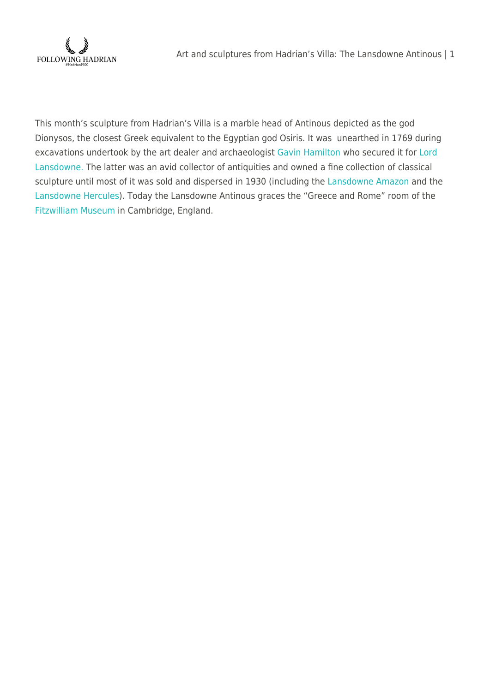

This month's sculpture from Hadrian's Villa is a marble head of Antinous depicted as the god Dionysos, the closest Greek equivalent to the Egyptian god Osiris. It was unearthed in 1769 during excavations undertook by the art dealer and archaeologist [Gavin Hamilton](http://en.wikipedia.org/wiki/Gavin_Hamilton_%28artist%29) who secured it for [Lord](http://en.wikipedia.org/wiki/William_Petty,_2nd_Earl_of_Shelburne) [Lansdowne.](http://en.wikipedia.org/wiki/William_Petty,_2nd_Earl_of_Shelburne) The latter was an avid collector of antiquities and owned a fine collection of classical sculpture until most of it was sold and dispersed in 1930 (including the [Lansdowne Amazon](http://en.wikipedia.org/wiki/Amazon_statue_types#Lansdowne_Amazon) and the [Lansdowne Hercules\)](http://en.wikipedia.org/wiki/Lansdowne_Hercules). Today the Lansdowne Antinous graces the "Greece and Rome" room of the [Fitzwilliam Museum](http://www.fitzmuseum.cam.ac.uk/dept/ant/greeceandrome/) in Cambridge, England.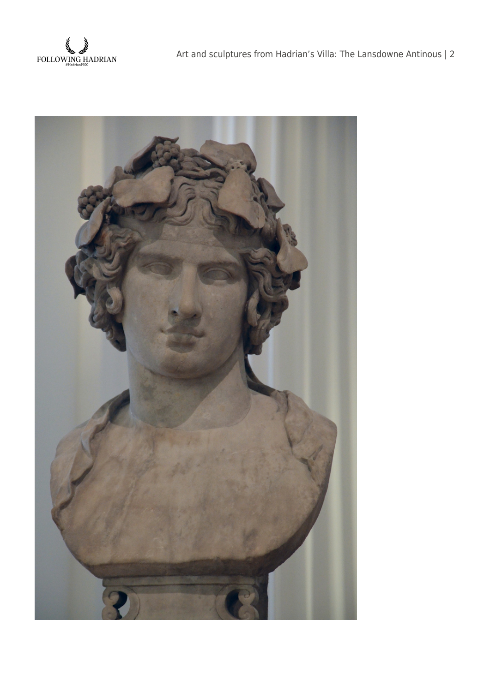

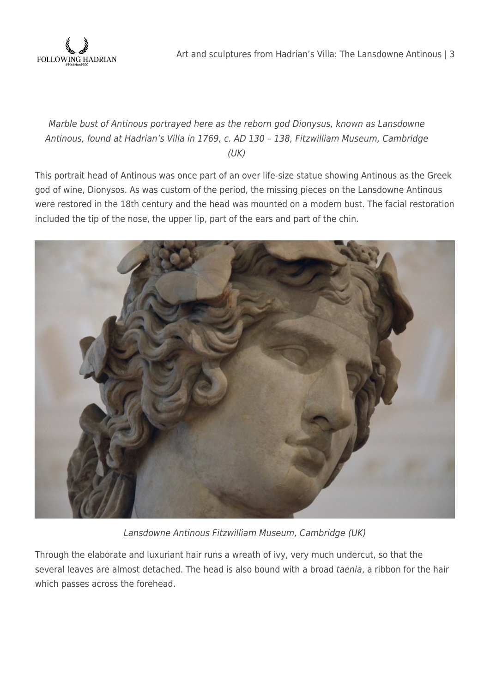

## Marble bust of Antinous portrayed here as the reborn god Dionysus, known as Lansdowne Antinous, found at Hadrian's Villa in 1769, c. AD 130 – 138, Fitzwilliam Museum, Cambridge  $(UK)$

This portrait head of Antinous was once part of an over life-size statue showing Antinous as the Greek god of wine, Dionysos. As was custom of the period, the missing pieces on the Lansdowne Antinous were restored in the 18th century and the head was mounted on a modern bust. The facial restoration included the tip of the nose, the upper lip, part of the ears and part of the chin.



Lansdowne Antinous Fitzwilliam Museum, Cambridge (UK)

Through the elaborate and luxuriant hair runs a wreath of ivy, very much undercut, so that the several leaves are almost detached. The head is also bound with a broad taenia, a ribbon for the hair which passes across the forehead.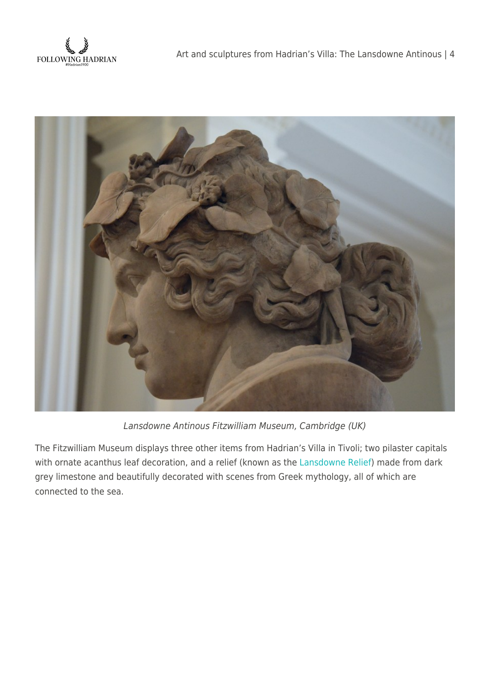



Lansdowne Antinous Fitzwilliam Museum, Cambridge (UK)

The Fitzwilliam Museum displays three other items from Hadrian's Villa in Tivoli; two pilaster capitals with ornate acanthus leaf decoration, and a relief (known as the [Lansdowne Relief](https://followinghadrian.com/2016/03/26/art-and-sculptures-from-hadrians-villa-the-lansdowne-relief/)) made from dark grey limestone and beautifully decorated with scenes from Greek mythology, all of which are connected to the sea.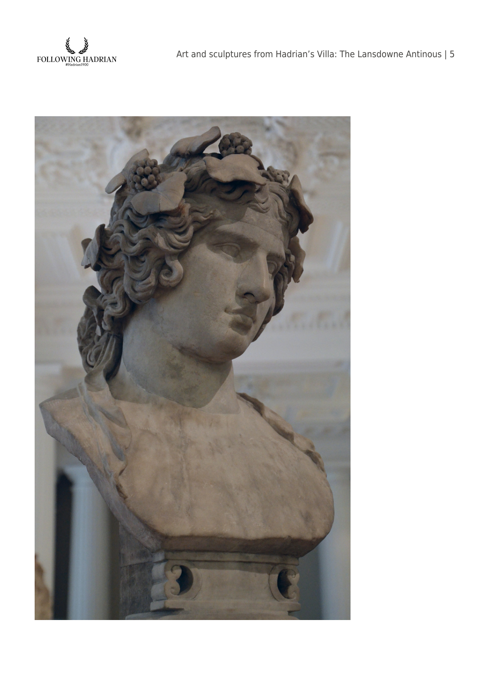

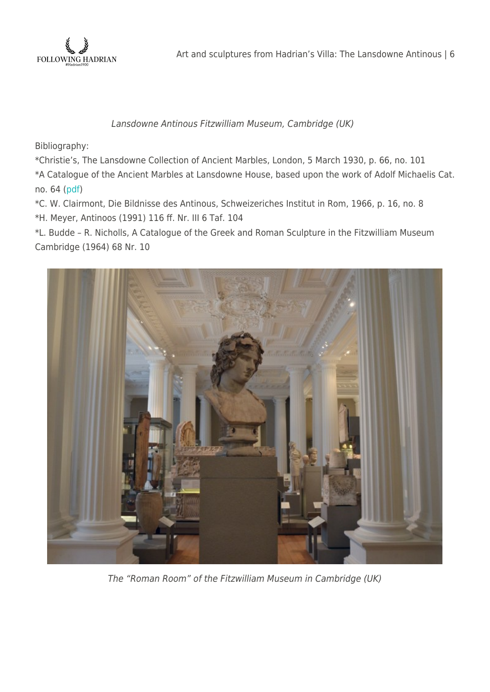

## Lansdowne Antinous Fitzwilliam Museum, Cambridge (UK)

Bibliography:

\*Christie's, The Lansdowne Collection of Ancient Marbles, London, 5 March 1930, p. 66, no. 101 \*A Catalogue of the Ancient Marbles at Lansdowne House, based upon the work of Adolf Michaelis Cat. no. 64 ([pdf\)](http://lcweb2.loc.gov/service/gdc/scd0001/2007/20078204002ca/20078204002ca.pdf)

\*C. W. Clairmont, Die Bildnisse des Antinous, Schweizeriches Institut in Rom, 1966, p. 16, no. 8

\*H. Meyer, Antinoos (1991) 116 ff. Nr. III 6 Taf. 104

\*L. Budde – R. Nicholls, A Catalogue of the Greek and Roman Sculpture in the Fitzwilliam Museum Cambridge (1964) 68 Nr. 10



The "Roman Room" of the Fitzwilliam Museum in Cambridge (UK)